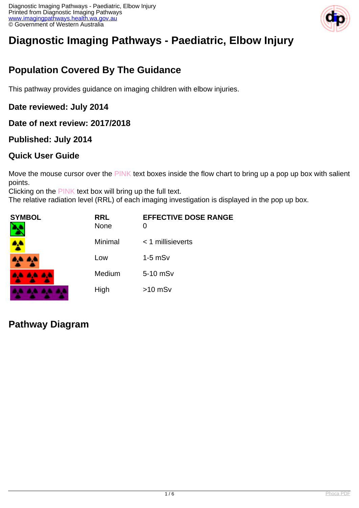

# **Diagnostic Imaging Pathways - Paediatric, Elbow Injury**

# **Population Covered By The Guidance**

This pathway provides guidance on imaging children with elbow injuries.

#### **Date reviewed: July 2014**

#### **Date of next review: 2017/2018**

#### **Published: July 2014**

#### **Quick User Guide**

Move the mouse cursor over the PINK text boxes inside the flow chart to bring up a pop up box with salient points.

Clicking on the PINK text box will bring up the full text.

The relative radiation level (RRL) of each imaging investigation is displayed in the pop up box.

| <b>SYMBOL</b><br>٦ | <b>RRL</b><br><b>None</b> | <b>EFFECTIVE DOSE RANGE</b><br>0 |
|--------------------|---------------------------|----------------------------------|
|                    | Minimal                   | $<$ 1 millisieverts              |
| A.A. 4,4           | Low                       | $1-5$ mS $v$                     |
| <b>AA AA AA</b>    | Medium                    | 5-10 mSv                         |
| .                  | High                      | $>10$ mSv                        |

### **Pathway Diagram**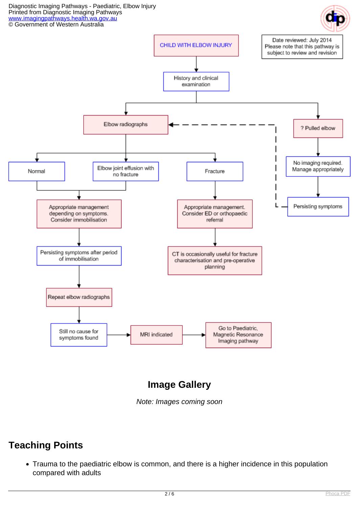Diagnostic Imaging Pathways - Paediatric, Elbow Injury Printed from Diagnostic Imaging Pathways [www.imagingpathways.health.wa.gov.au](http://www.imagingpathways.health.wa.gov.au/) © Government of Western Australia





# **Image Gallery**

Note: Images coming soon

# **Teaching Points**

Trauma to the paediatric elbow is common, and there is a higher incidence in this population compared with adults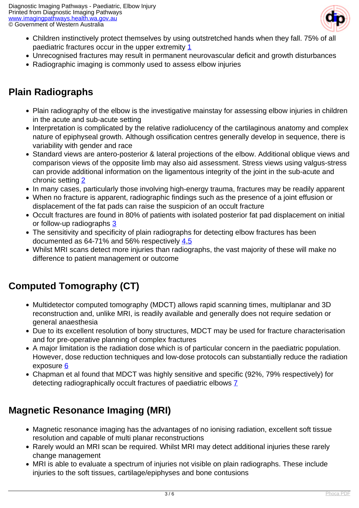

- Children instinctively protect themselves by using outstretched hands when they fall. 75% of all paediatric fractures occur in the upper extremity [1](index.php?option=com_content&view=article&id=230&tab=references#1)
- Unrecognised fractures may result in permanent neurovascular deficit and growth disturbances
- Radiographic imaging is commonly used to assess elbow injuries

## **Plain Radiographs**

- Plain radiography of the elbow is the investigative mainstay for assessing elbow injuries in children in the acute and sub-acute setting
- Interpretation is complicated by the relative radiolucency of the cartilaginous anatomy and complex nature of epiphyseal growth. Although ossification centres generally develop in sequence, there is variability with gender and race
- Standard views are antero-posterior & lateral projections of the elbow. Additional oblique views and comparison views of the opposite limb may also aid assessment. Stress views using valgus-stress can provide additional information on the ligamentous integrity of the joint in the sub-acute and chronic setting [2](index.php?option=com_content&view=article&id=230&tab=references#2)
- In many cases, particularly those involving high-energy trauma, fractures may be readily apparent
- When no fracture is apparent, radiographic findings such as the presence of a joint effusion or displacement of the fat pads can raise the suspicion of an occult fracture
- Occult fractures are found in 80% of patients with isolated posterior fat pad displacement on initial or follow-up radiographs [3](index.php?option=com_content&view=article&id=230&tab=references#3)
- The sensitivity and specificity of plain radiographs for detecting elbow fractures has been documented as 64-71% and 56% respectively [4](index.php?option=com_content&view=article&id=230&tab=references#4),[5](index.php?option=com_content&view=article&id=230&tab=references#5)
- Whilst MRI scans detect more injuries than radiographs, the vast majority of these will make no difference to patient management or outcome

# **Computed Tomography (CT)**

- Multidetector computed tomography (MDCT) allows rapid scanning times, multiplanar and 3D reconstruction and, unlike MRI, is readily available and generally does not require sedation or general anaesthesia
- Due to its excellent resolution of bony structures, MDCT may be used for fracture characterisation and for pre-operative planning of complex fractures
- A major limitation is the radiation dose which is of particular concern in the paediatric population. However, dose reduction techniques and low-dose protocols can substantially reduce the radiation exposure [6](index.php?option=com_content&view=article&id=230&tab=references#6)
- Chapman et al found that MDCT was highly sensitive and specific (92%, 79% respectively) for detecting radiographically occult fractures of paediatric elbows [7](index.php?option=com_content&view=article&id=230&tab=references#7)

# **Magnetic Resonance Imaging (MRI)**

- Magnetic resonance imaging has the advantages of no ionising radiation, excellent soft tissue resolution and capable of multi planar reconstructions
- Rarely would an MRI scan be required. Whilst MRI may detect additional injuries these rarely change management
- MRI is able to evaluate a spectrum of injuries not visible on plain radiographs. These include injuries to the soft tissues, cartilage/epiphyses and bone contusions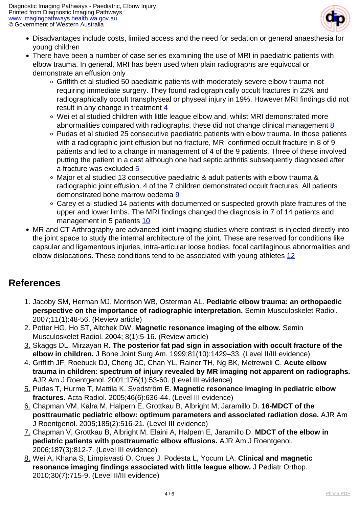

- Disadvantages include costs, limited access and the need for sedation or general anaesthesia for young children
- There have been a number of case series examining the use of MRI in paediatric patients with elbow trauma. In general, MRI has been used when plain radiographs are equivocal or demonstrate an effusion only
	- Griffith et al studied 50 paediatric patients with moderately severe elbow trauma not requiring immediate surgery. They found radiographically occult fractures in 22% and radiographically occult transphyseal or physeal injury in 19%. However MRI findings did not result in any change in treatment [4](index.php?option=com_content&view=article&id=230&tab=references#4)
	- Wei et al studied children with little league elbow and, whilst MRI demonstrated more abnormalities compared with radiographs, these did not change clinical management  $8$
	- Pudas et al studied 25 consecutive paediatric patients with elbow trauma. In those patients with a radiographic joint effusion but no fracture, MRI confirmed occult fracture in 8 of 9 patients and led to a change in management of 4 of the 9 patients. Three of these involved putting the patient in a cast although one had septic arthritis subsequently diagnosed after a fracture was excluded [5](index.php?option=com_content&view=article&id=230&tab=references#5)
	- Major et al studied 13 consecutive paediatric & adult patients with elbow trauma & radiographic joint effusion. 4 of the 7 children demonstrated occult fractures. All patients demonstrated bone marrow oedema [9](index.php?option=com_content&view=article&id=230&tab=references#9)
	- Carey et al studied 14 patients with documented or suspected growth plate fractures of the upper and lower limbs. The MRI findings changed the diagnosis in 7 of 14 patients and management in 5 patients [10](index.php?option=com_content&view=article&id=230&tab=references#10)
- MR and CT Arthrography are advanced joint imaging studies where contrast is injected directly into the joint space to study the internal architecture of the joint. These are reserved for conditions like capsular and ligamentous injuries, intra-articular loose bodies, focal cartilaginous abnormalities and elbow dislocations. These conditions tend to be associated with young athletes [12](index.php?option=com_content&view=article&id=230&tab=references#12)

### **References**

- 1. Jacoby SM, Herman MJ, Morrison WB, Osterman AL. **Pediatric elbow trauma: an orthopaedic perspective on the importance of radiographic interpretation.** Semin Musculoskelet Radiol. 2007;11(1):48-56. (Review article)
- 2. Potter HG, Ho ST, Altchek DW. **Magnetic resonance imaging of the elbow.** Semin Musculoskelet Radiol. 2004; 8(1):5-16. (Review article)
- 3. Skaggs DL, Mirzayan R. **The posterior fat pad sign in association with occult fracture of the elbow in children.** J Bone Joint Surg Am. 1999;81(10):1429–33. (Level II/III evidence)
- 4. Griffith JF, Roebuck DJ, Cheng JC, Chan YL, Rainer TH, Ng BK, Metreweli C. **Acute elbow trauma in children: spectrum of injury revealed by MR imaging not apparent on radiographs.** AJR Am J Roentgenol. 2001;176(1):53-60. (Level III evidence)
- 5. Pudas T, Hurme T, Mattila K, Svedström E. **Magnetic resonance imaging in pediatric elbow fractures.** Acta Radiol. 2005;46(6):636-44. (Level III evidence)
- 6. Chapman VM, Kalra M, Halpern E, Grottkau B, Albright M, Jaramillo D. **16-MDCT of the posttraumatic pediatric elbow: optimum parameters and associated radiation dose.** AJR Am J Roentgenol. 2005;185(2):516-21. (Level III evidence)
- 7. Chapman V, Grottkau B, Albright M, Elaini A, Halpern E, Jaramillo D. **MDCT of the elbow in pediatric patients with posttraumatic elbow effusions.** AJR Am J Roentgenol. 2006;187(3):812-7. (Level III evidence)
- 8. Wei A, Khana S, Limpisvasti O, Crues J, Podesta L, Yocum LA. **Clinical and magnetic resonance imaging findings associated with little league elbow.** J Pediatr Orthop. 2010;30(7):715-9. (Level II/III evidence)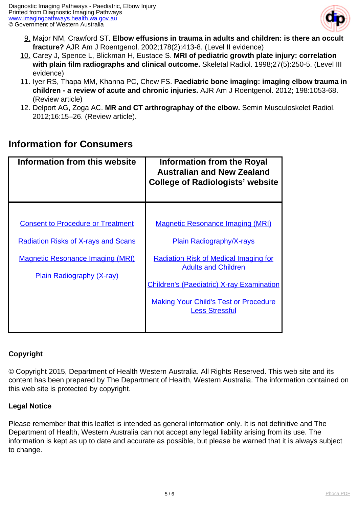

- 9. Major NM, Crawford ST. **Elbow effusions in trauma in adults and children: is there an occult fracture?** AJR Am J Roentgenol. 2002;178(2):413-8. (Level II evidence)
- 10. Carey J, Spence L, Blickman H, Eustace S. **MRI of pediatric growth plate injury: correlation with plain film radiographs and clinical outcome.** Skeletal Radiol. 1998;27(5):250-5. (Level III evidence)
- 11. Iyer RS, Thapa MM, Khanna PC, Chew FS. **Paediatric bone imaging: imaging elbow trauma in children - a review of acute and chronic injuries.** AJR Am J Roentgenol. 2012; 198:1053-68. (Review article)
- 12. Delport AG, Zoga AC. **MR and CT arthrographay of the elbow.** Semin Musculoskelet Radiol. 2012;16:15–26. (Review article).

### **Information for Consumers**

| Information from this website              | <b>Information from the Royal</b><br><b>Australian and New Zealand</b><br><b>College of Radiologists' website</b> |
|--------------------------------------------|-------------------------------------------------------------------------------------------------------------------|
|                                            |                                                                                                                   |
| <b>Consent to Procedure or Treatment</b>   | <b>Magnetic Resonance Imaging (MRI)</b>                                                                           |
| <b>Radiation Risks of X-rays and Scans</b> | <b>Plain Radiography/X-rays</b>                                                                                   |
| <b>Magnetic Resonance Imaging (MRI)</b>    | <b>Radiation Risk of Medical Imaging for</b><br><b>Adults and Children</b>                                        |
| <b>Plain Radiography (X-ray)</b>           | <b>Children's (Paediatric) X-ray Examination</b>                                                                  |
|                                            |                                                                                                                   |
|                                            | <b>Making Your Child's Test or Procedure</b><br><b>Less Stressful</b>                                             |
|                                            |                                                                                                                   |

#### **Copyright**

© Copyright 2015, Department of Health Western Australia. All Rights Reserved. This web site and its content has been prepared by The Department of Health, Western Australia. The information contained on this web site is protected by copyright.

#### **Legal Notice**

Please remember that this leaflet is intended as general information only. It is not definitive and The Department of Health, Western Australia can not accept any legal liability arising from its use. The information is kept as up to date and accurate as possible, but please be warned that it is always subject to change.